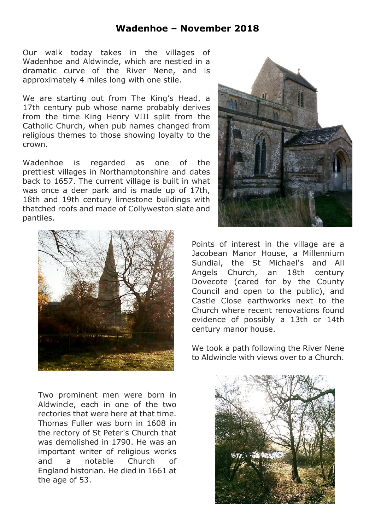## **Wadenhoe – November 2018**

Our walk today takes in the villages of Wadenhoe and Aldwincle, which are nestled in a dramatic curve of the River Nene, and is approximately 4 miles long with one stile.

We are starting out from The King's Head, a 17th century pub whose name probably derives from the time King Henry VIII split from the Catholic Church, when pub names changed from religious themes to those showing loyalty to the crown.

Wadenhoe is regarded as one of the prettiest villages in Northamptonshire and dates back to 1657. The current village is built in what was once a deer park and is made up of 17th, 18th and 19th century limestone buildings with thatched roofs and made of Collyweston slate and pantiles.



Two prominent men were born in Aldwincle, each in one of the two rectories that were here at that time. Thomas Fuller was born in 1608 in the rectory of St Peter's Church that was demolished in 1790. He was an important writer of religious works and a notable Church of England historian. He died in 1661 at the age of 53.



Points of interest in the village are a Jacobean Manor House, a Millennium Sundial, the St Michael's and All Angels Church, an 18th century Dovecote (cared for by the County Council and open to the public), and Castle Close earthworks next to the Church where recent renovations found evidence of possibly a 13th or 14th century manor house.

We took a path following the River Nene to Aldwincle with views over to a Church.